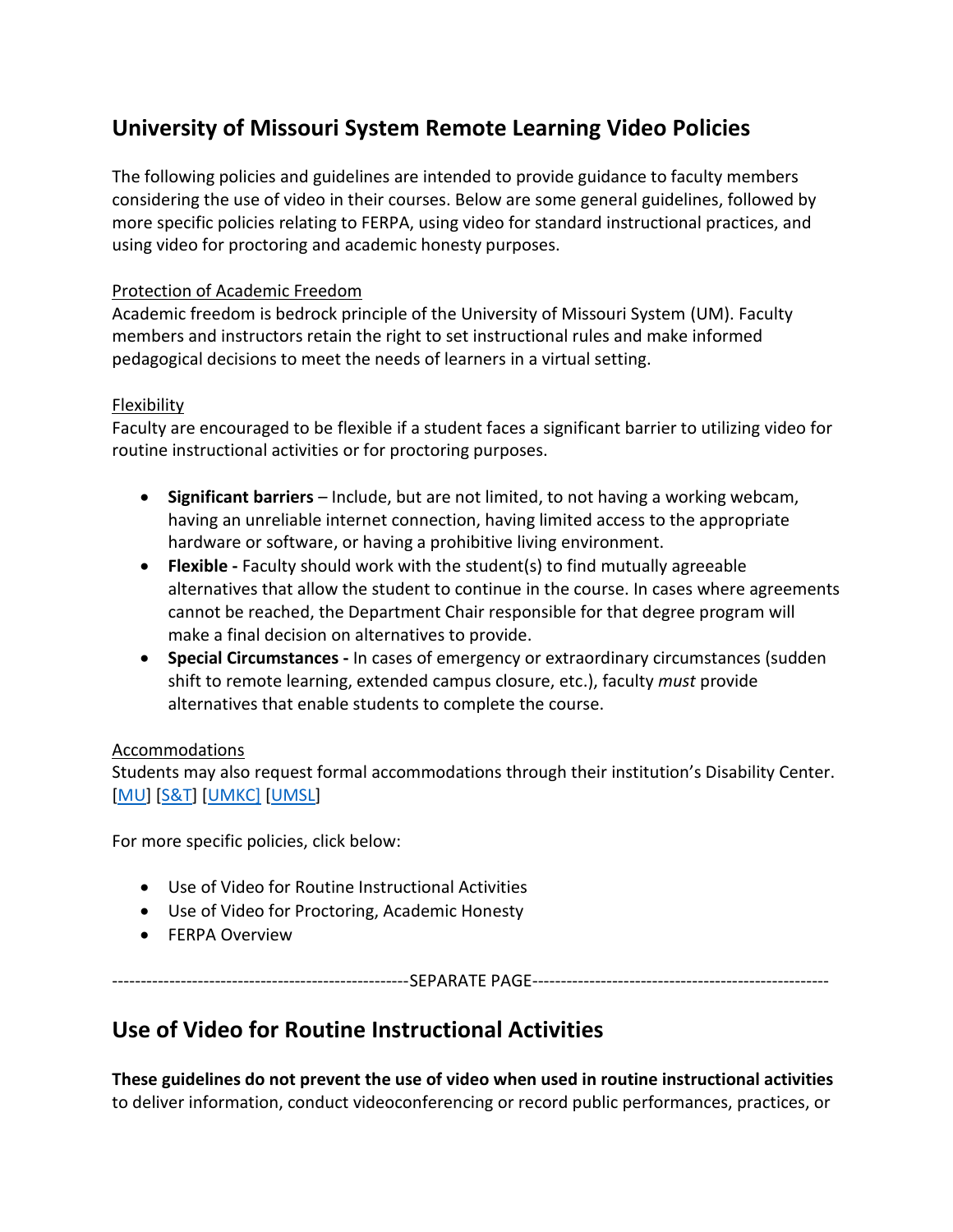# **University of Missouri System Remote Learning Video Policies**

The following policies and guidelines are intended to provide guidance to faculty members considering the use of video in their courses. Below are some general guidelines, followed by more specific policies relating to FERPA, using video for standard instructional practices, and using video for proctoring and academic honesty purposes.

## Protection of Academic Freedom

Academic freedom is bedrock principle of the University of Missouri System (UM). Faculty members and instructors retain the right to set instructional rules and make informed pedagogical decisions to meet the needs of learners in a virtual setting.

## Flexibility

Faculty are encouraged to be flexible if a student faces a significant barrier to utilizing video for routine instructional activities or for proctoring purposes.

- **Significant barriers** Include, but are not limited, to not having a working webcam, having an unreliable internet connection, having limited access to the appropriate hardware or software, or having a prohibitive living environment.
- **Flexible -** Faculty should work with the student(s) to find mutually agreeable alternatives that allow the student to continue in the course. In cases where agreements cannot be reached, the Department Chair responsible for that degree program will make a final decision on alternatives to provide.
- **Special Circumstances -** In cases of emergency or extraordinary circumstances (sudden shift to remote learning, extended campus closure, etc.), faculty *must* provide alternatives that enable students to complete the course.

## **Accommodations**

Students may also request formal accommodations through their institution's Disability Center. [\[MU\]](https://disabilitycenter.missouri.edu/) [\[S&T\]](https://dss.mst.edu/) [\[UMKC\]](https://info.umkc.edu/disability-services/) [\[UMSL\]](http://www.umsl.edu/hcdas/das/)

For more specific policies, click below:

- Use of Video for Routine Instructional Activities
- Use of Video for Proctoring, Academic Honesty
- **•** FERPA Overview

----------------------------------------------------SEPARATE PAGE----------------------------------------------------

## **Use of Video for Routine Instructional Activities**

**These guidelines do not prevent the use of video when used in routine instructional activities** to deliver information, conduct videoconferencing or record public performances, practices, or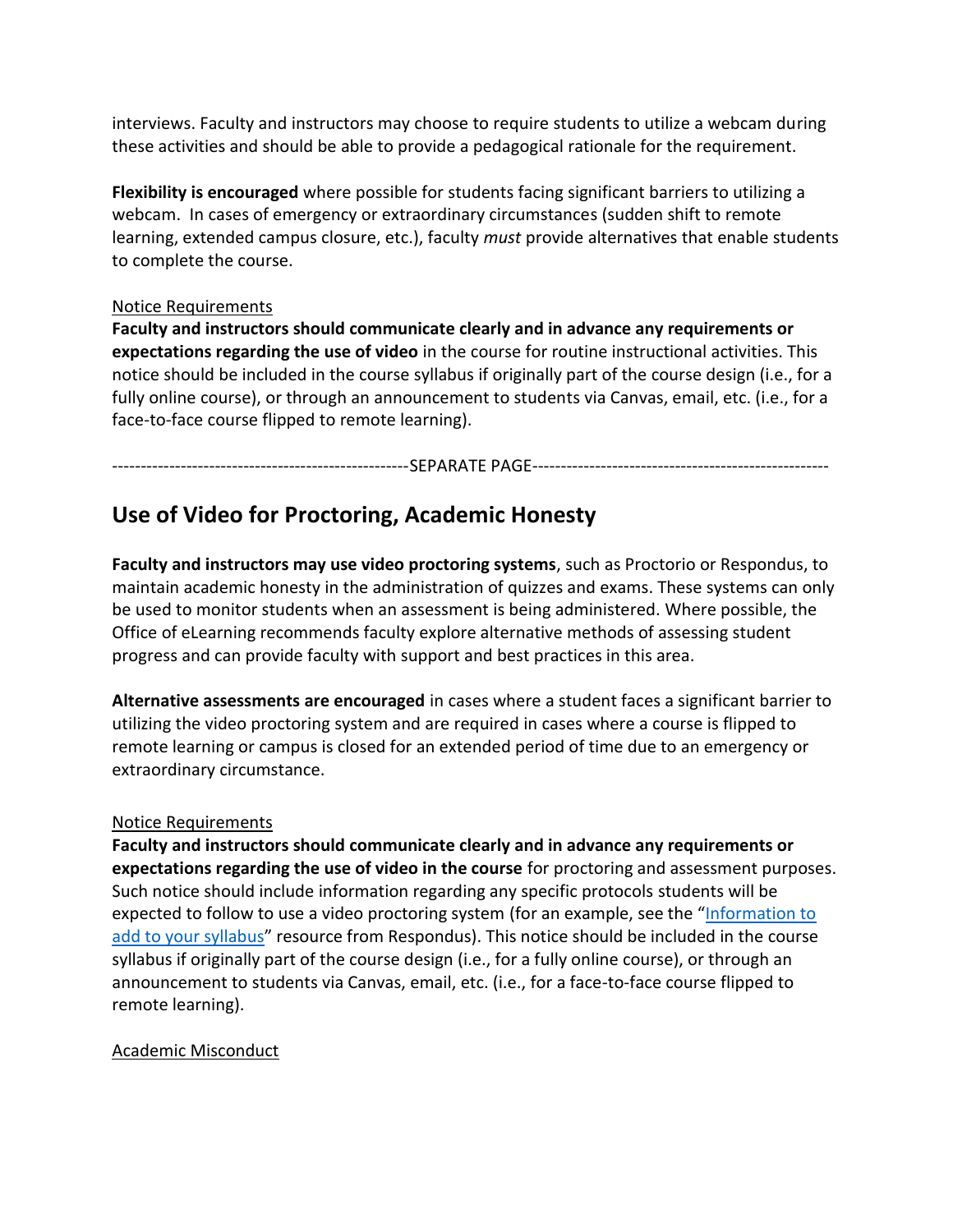interviews. Faculty and instructors may choose to require students to utilize a webcam during these activities and should be able to provide a pedagogical rationale for the requirement.

**Flexibility is encouraged** where possible for students facing significant barriers to utilizing a webcam. In cases of emergency or extraordinary circumstances (sudden shift to remote learning, extended campus closure, etc.), faculty *must* provide alternatives that enable students to complete the course.

#### Notice Requirements

**Faculty and instructors should communicate clearly and in advance any requirements or expectations regarding the use of video** in the course for routine instructional activities. This notice should be included in the course syllabus if originally part of the course design (i.e., for a fully online course), or through an announcement to students via Canvas, email, etc. (i.e., for a face-to-face course flipped to remote learning).

----------------------------------------------------SEPARATE PAGE----------------------------------------------------

## **Use of Video for Proctoring, Academic Honesty**

**Faculty and instructors may use video proctoring systems**, such as Proctorio or Respondus, to maintain academic honesty in the administration of quizzes and exams. These systems can only be used to monitor students when an assessment is being administered. Where possible, the Office of eLearning recommends faculty explore alternative methods of assessing student progress and can provide faculty with support and best practices in this area.

**Alternative assessments are encouraged** in cases where a student faces a significant barrier to utilizing the video proctoring system and are required in cases where a course is flipped to remote learning or campus is closed for an extended period of time due to an emergency or extraordinary circumstance.

#### Notice Requirements

**Faculty and instructors should communicate clearly and in advance any requirements or expectations regarding the use of video in the course** for proctoring and assessment purposes. Such notice should include information regarding any specific protocols students will be expected to follow to use a video proctoring system (for an example, see the "[Information to](https://web.respondus.com/he/lockdownbrowser/resources/)  [add to your syllabus](https://web.respondus.com/he/lockdownbrowser/resources/)" resource from Respondus). This notice should be included in the course syllabus if originally part of the course design (i.e., for a fully online course), or through an announcement to students via Canvas, email, etc. (i.e., for a face-to-face course flipped to remote learning).

## Academic Misconduct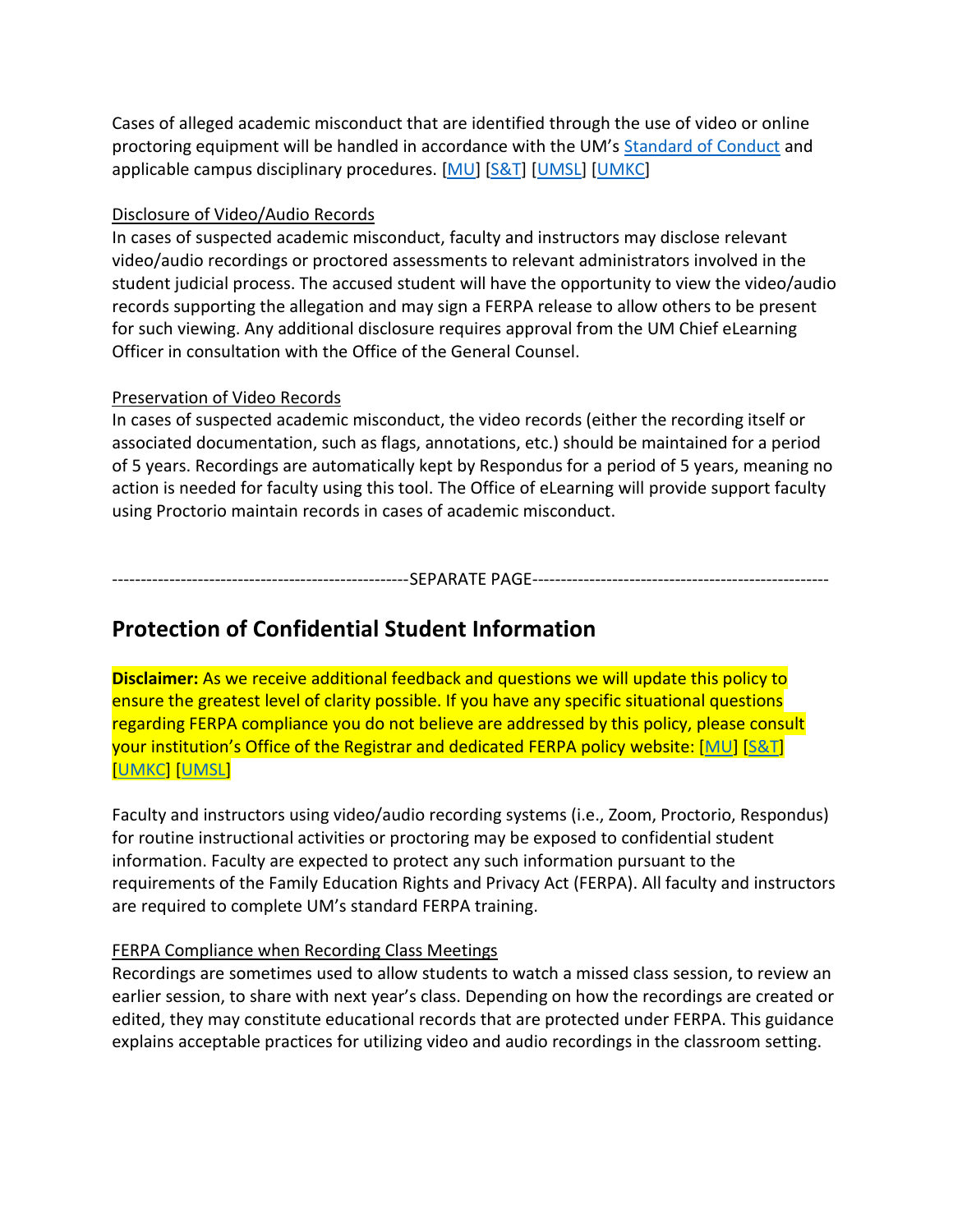Cases of alleged academic misconduct that are identified through the use of video or online proctoring equipment will be handled in accordance with the UM's [Standard of Conduct](https://www.umsystem.edu/ums/rules/collected_rules/programs/ch200/200.010_standard_of_conduct) and applicable campus disciplinary procedures. [\[MU\]](https://oai.missouri.edu/instructors/reporting-dishonesty/) [\[S&T\]](https://academicsupport.mst.edu/academicintegrity/facultyresources-ai/) [\[UMSL\]](https://www.umsl.edu/services/ctl/faculty/facultyorientations/dishonesty.html) [\[UMKC\]](https://catalog.umkc.edu/special-notices/academic-honesty/)

## Disclosure of Video/Audio Records

In cases of suspected academic misconduct, faculty and instructors may disclose relevant video/audio recordings or proctored assessments to relevant administrators involved in the student judicial process. The accused student will have the opportunity to view the video/audio records supporting the allegation and may sign a FERPA release to allow others to be present for such viewing. Any additional disclosure requires approval from the UM Chief eLearning Officer in consultation with the Office of the General Counsel.

## Preservation of Video Records

In cases of suspected academic misconduct, the video records (either the recording itself or associated documentation, such as flags, annotations, etc.) should be maintained for a period of 5 years. Recordings are automatically kept by Respondus for a period of 5 years, meaning no action is needed for faculty using this tool. The Office of eLearning will provide support faculty using Proctorio maintain records in cases of academic misconduct.

----------------------------------------------------SEPARATE PAGE----------------------------------------------------

## **Protection of Confidential Student Information**

**Disclaimer:** As we receive additional feedback and questions we will update this policy to ensure the greatest level of clarity possible. If you have any specific situational questions regarding FERPA compliance you do not believe are addressed by this policy, please consult your institution's Office of the Registrar and dedicated FERPA policy website: [\[MU\]](https://registrar.missouri.edu/policies-procedures/ferpa.php) [\[S&T\]](https://registrar.mst.edu/ferpa/) [\[UMKC\]](https://www.umkc.edu/registrar/student-records/ferpa/faculty-staff.html) [\[UMSL\]](http://www.umsl.edu/registration/Faculty-Staff/ferpa.html)

Faculty and instructors using video/audio recording systems (i.e., Zoom, Proctorio, Respondus) for routine instructional activities or proctoring may be exposed to confidential student information. Faculty are expected to protect any such information pursuant to the requirements of the Family Education Rights and Privacy Act (FERPA). All faculty and instructors are required to complete UM's standard FERPA training.

## FERPA Compliance when Recording Class Meetings

Recordings are sometimes used to allow students to watch a missed class session, to review an earlier session, to share with next year's class. Depending on how the recordings are created or edited, they may constitute educational records that are protected under FERPA. This guidance explains acceptable practices for utilizing video and audio recordings in the classroom setting.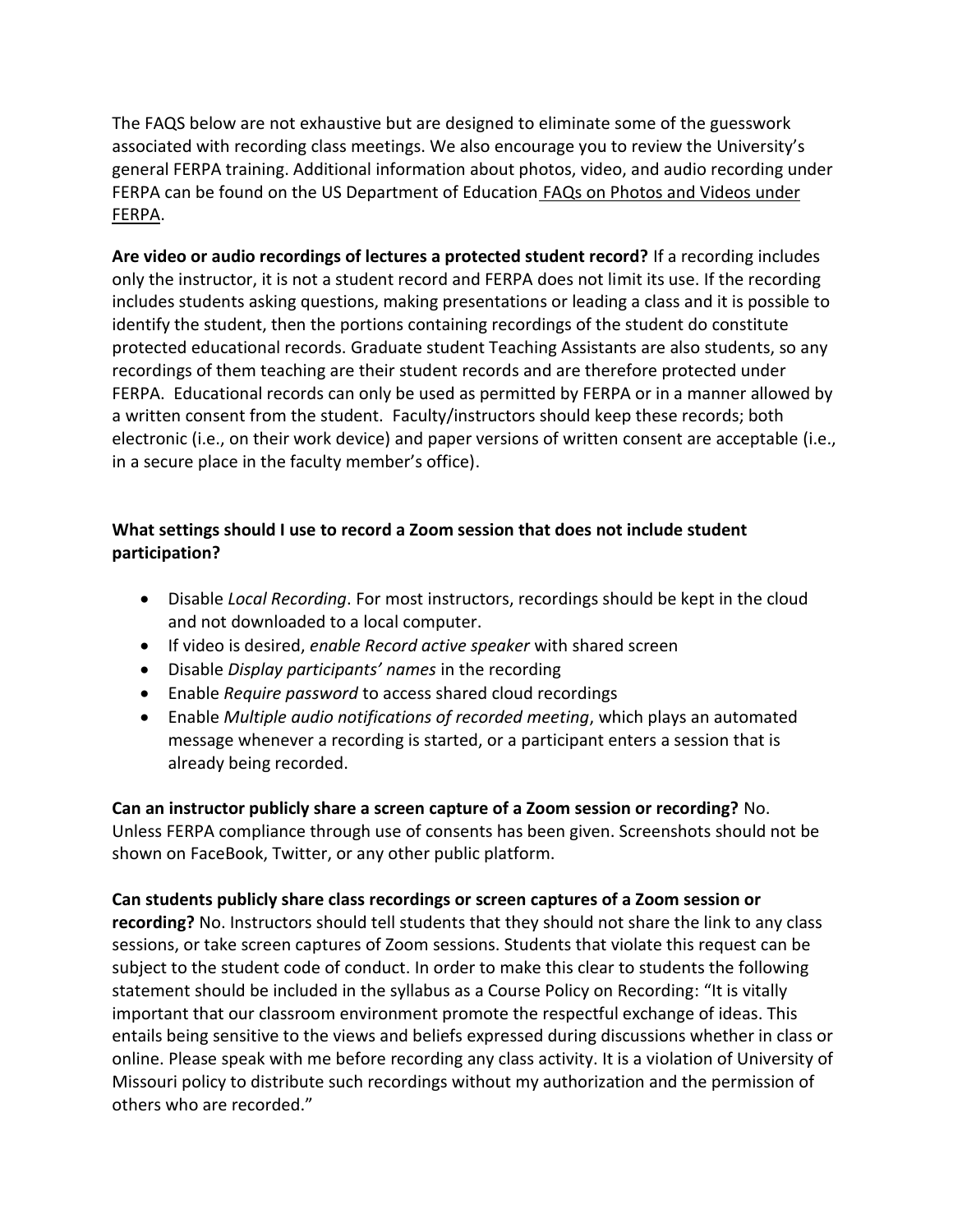The FAQS below are not exhaustive but are designed to eliminate some of the guesswork associated with recording class meetings. We also encourage you to review the University's general FERPA training. Additional information about photos, video, and audio recording under FERPA can be found on the US Department of Education [FAQs on Photos and Videos under](https://studentprivacy.ed.gov/faq/faqs-photos-and-videos-under-ferpa)  [FERPA.](https://studentprivacy.ed.gov/faq/faqs-photos-and-videos-under-ferpa)

**Are video or audio recordings of lectures a protected student record?** If a recording includes only the instructor, it is not a student record and FERPA does not limit its use. If the recording includes students asking questions, making presentations or leading a class and it is possible to identify the student, then the portions containing recordings of the student do constitute protected educational records. Graduate student Teaching Assistants are also students, so any recordings of them teaching are their student records and are therefore protected under FERPA. Educational records can only be used as permitted by FERPA or in a manner allowed by a written consent from the student. Faculty/instructors should keep these records; both electronic (i.e., on their work device) and paper versions of written consent are acceptable (i.e., in a secure place in the faculty member's office).

## **What settings should I use to record a Zoom session that does not include student participation?**

- Disable *Local Recording*. For most instructors, recordings should be kept in the cloud and not downloaded to a local computer.
- If video is desired, *enable Record active speaker* with shared screen
- Disable *Display participants' names* in the recording
- Enable *Require password* to access shared cloud recordings
- Enable *Multiple audio notifications of recorded meeting*, which plays an automated message whenever a recording is started, or a participant enters a session that is already being recorded.

**Can an instructor publicly share a screen capture of a Zoom session or recording?** No. Unless FERPA compliance through use of consents has been given. Screenshots should not be shown on FaceBook, Twitter, or any other public platform.

**Can students publicly share class recordings or screen captures of a Zoom session or recording?** No. Instructors should tell students that they should not share the link to any class sessions, or take screen captures of Zoom sessions. Students that violate this request can be subject to the student code of conduct. In order to make this clear to students the following statement should be included in the syllabus as a Course Policy on Recording: "It is vitally important that our classroom environment promote the respectful exchange of ideas. This entails being sensitive to the views and beliefs expressed during discussions whether in class or online. Please speak with me before recording any class activity. It is a violation of University of Missouri policy to distribute such recordings without my authorization and the permission of others who are recorded."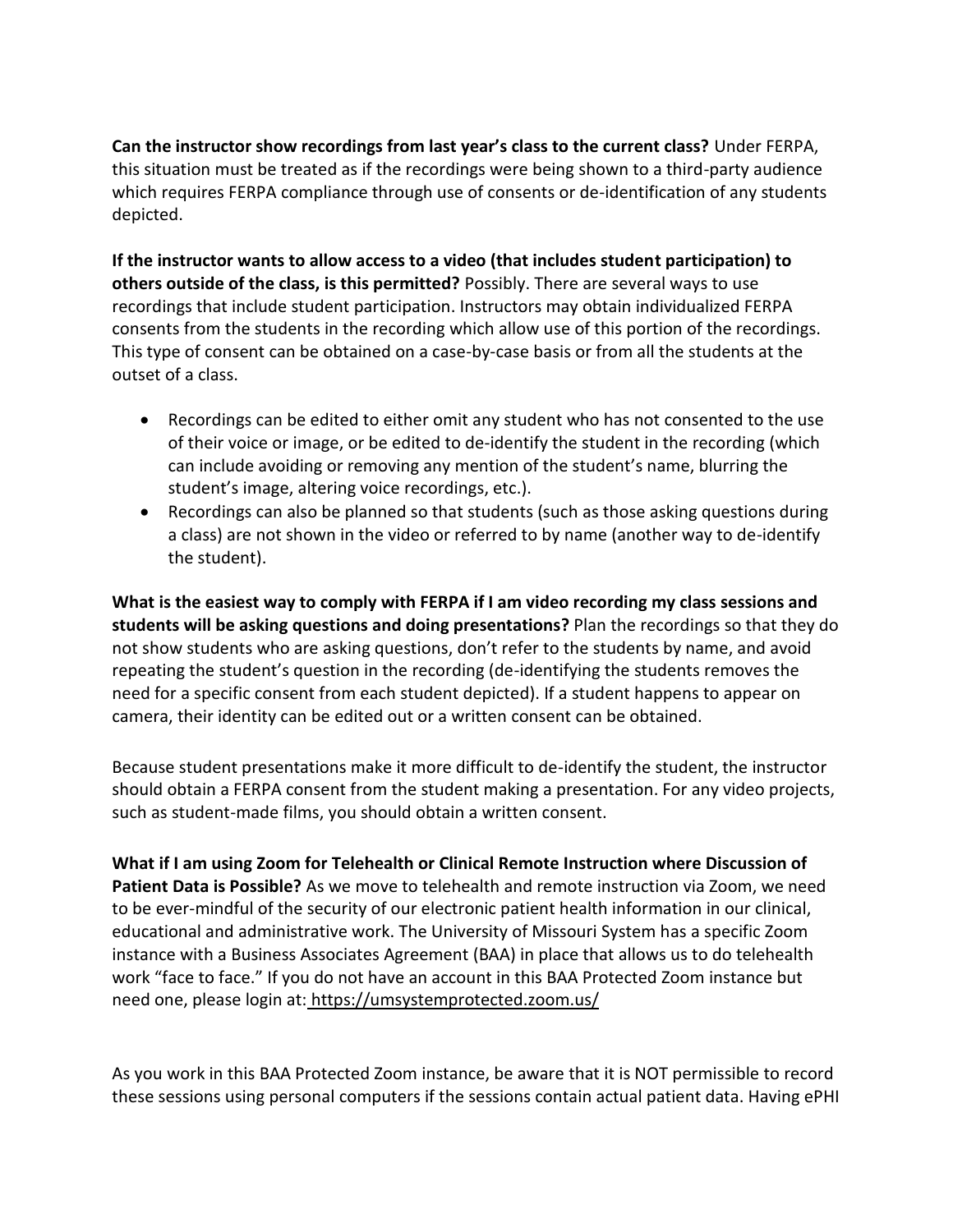**Can the instructor show recordings from last year's class to the current class?** Under FERPA, this situation must be treated as if the recordings were being shown to a third-party audience which requires FERPA compliance through use of consents or de-identification of any students depicted.

**If the instructor wants to allow access to a video (that includes student participation) to others outside of the class, is this permitted?** Possibly. There are several ways to use recordings that include student participation. Instructors may obtain individualized FERPA consents from the students in the recording which allow use of this portion of the recordings. This type of consent can be obtained on a case-by-case basis or from all the students at the outset of a class.

- Recordings can be edited to either omit any student who has not consented to the use of their voice or image, or be edited to de-identify the student in the recording (which can include avoiding or removing any mention of the student's name, blurring the student's image, altering voice recordings, etc.).
- Recordings can also be planned so that students (such as those asking questions during a class) are not shown in the video or referred to by name (another way to de-identify the student).

**What is the easiest way to comply with FERPA if I am video recording my class sessions and students will be asking questions and doing presentations?** Plan the recordings so that they do not show students who are asking questions, don't refer to the students by name, and avoid repeating the student's question in the recording (de-identifying the students removes the need for a specific consent from each student depicted). If a student happens to appear on camera, their identity can be edited out or a written consent can be obtained.

Because student presentations make it more difficult to de-identify the student, the instructor should obtain a FERPA consent from the student making a presentation. For any video projects, such as student-made films, you should obtain a written consent.

**What if I am using Zoom for Telehealth or Clinical Remote Instruction where Discussion of Patient Data is Possible?** As we move to telehealth and remote instruction via Zoom, we need to be ever-mindful of the security of our electronic patient health information in our clinical, educational and administrative work. The University of Missouri System has a specific Zoom instance with a Business Associates Agreement (BAA) in place that allows us to do telehealth work "face to face." If you do not have an account in this BAA Protected Zoom instance but need one, please login at: <https://umsystemprotected.zoom.us/>

As you work in this BAA Protected Zoom instance, be aware that it is NOT permissible to record these sessions using personal computers if the sessions contain actual patient data. Having ePHI